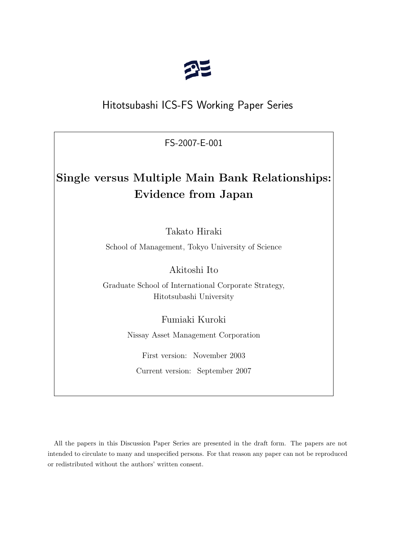

## Hitotsubashi ICS-FS Working Paper Series

FS-2007-E-001

# **Single versus Multiple Main Bank Relationships: Evidence from Japan**

Takato Hiraki

School of Management, Tokyo University of Science

Akitoshi Ito

Graduate School of International Corporate Strategy, Hitotsubashi University

Fumiaki Kuroki

Nissay Asset Management Corporation

First version: November 2003 Current version: September 2007

All the papers in this Discussion Paper Series are presented in the draft form. The papers are not intended to circulate to many and unspecified persons. For that reason any paper can not be reproduced or redistributed without the authors' written consent.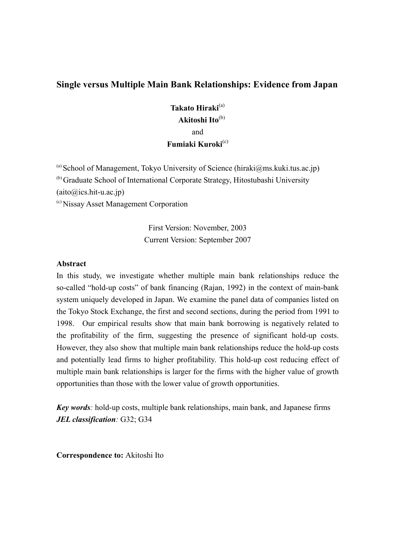## **Single versus Multiple Main Bank Relationships: Evidence from Japan**

**Takato Hiraki**(a)  **Akitoshi Ito**(b) and **Fumiaki Kuroki**(c)

(a) School of Management, Tokyo University of Science (hiraki@ms.kuki.tus.ac.jp) (b) Graduate School of International Corporate Strategy, Hitostubashi University  $(aito@ics.hit-u.ac.jp)$ 

(c) Nissay Asset Management Corporation

First Version: November, 2003 Current Version: September 2007

## **Abstract**

In this study, we investigate whether multiple main bank relationships reduce the so-called "hold-up costs" of bank financing (Rajan, 1992) in the context of main-bank system uniquely developed in Japan. We examine the panel data of companies listed on the Tokyo Stock Exchange, the first and second sections, during the period from 1991 to 1998. Our empirical results show that main bank borrowing is negatively related to the profitability of the firm, suggesting the presence of significant hold-up costs. However, they also show that multiple main bank relationships reduce the hold-up costs and potentially lead firms to higher profitability. This hold-up cost reducing effect of multiple main bank relationships is larger for the firms with the higher value of growth opportunities than those with the lower value of growth opportunities.

*Key words:* hold-up costs, multiple bank relationships, main bank, and Japanese firms *JEL classification:* G32; G34

**Correspondence to:** Akitoshi Ito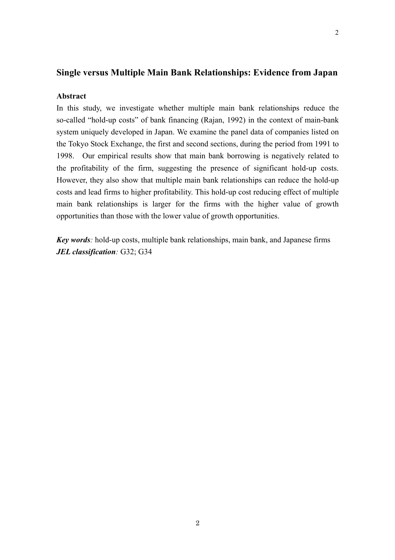## **Single versus Multiple Main Bank Relationships: Evidence from Japan**

## **Abstract**

In this study, we investigate whether multiple main bank relationships reduce the so-called "hold-up costs" of bank financing (Rajan, 1992) in the context of main-bank system uniquely developed in Japan. We examine the panel data of companies listed on the Tokyo Stock Exchange, the first and second sections, during the period from 1991 to 1998. Our empirical results show that main bank borrowing is negatively related to the profitability of the firm, suggesting the presence of significant hold-up costs. However, they also show that multiple main bank relationships can reduce the hold-up costs and lead firms to higher profitability. This hold-up cost reducing effect of multiple main bank relationships is larger for the firms with the higher value of growth opportunities than those with the lower value of growth opportunities.

*Key words:* hold-up costs, multiple bank relationships, main bank, and Japanese firms *JEL classification:* G32; G34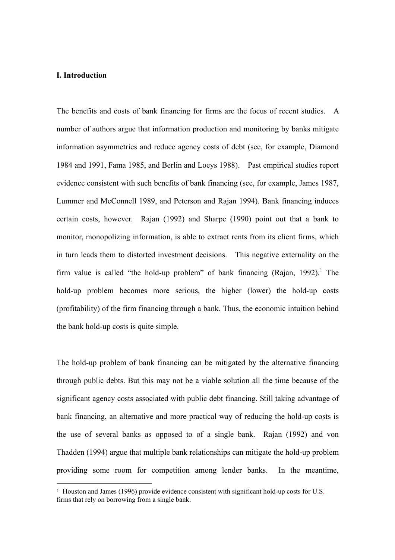#### **I. Introduction**

 $\overline{a}$ 

The benefits and costs of bank financing for firms are the focus of recent studies. A number of authors argue that information production and monitoring by banks mitigate information asymmetries and reduce agency costs of debt (see, for example, Diamond 1984 and 1991, Fama 1985, and Berlin and Loeys 1988). Past empirical studies report evidence consistent with such benefits of bank financing (see, for example, James 1987, Lummer and McConnell 1989, and Peterson and Rajan 1994). Bank financing induces certain costs, however. Rajan (1992) and Sharpe (1990) point out that a bank to monitor, monopolizing information, is able to extract rents from its client firms, which in turn leads them to distorted investment decisions. This negative externality on the firm value is called "the hold-up problem" of bank financing (Rajan, 1992).<sup>1</sup> The hold-up problem becomes more serious, the higher (lower) the hold-up costs (profitability) of the firm financing through a bank. Thus, the economic intuition behind the bank hold-up costs is quite simple.

The hold-up problem of bank financing can be mitigated by the alternative financing through public debts. But this may not be a viable solution all the time because of the significant agency costs associated with public debt financing. Still taking advantage of bank financing, an alternative and more practical way of reducing the hold-up costs is the use of several banks as opposed to of a single bank. Rajan (1992) and von Thadden (1994) argue that multiple bank relationships can mitigate the hold-up problem providing some room for competition among lender banks. In the meantime,

<sup>1</sup> Houston and James (1996) provide evidence consistent with significant hold-up costs for U.S. firms that rely on borrowing from a single bank.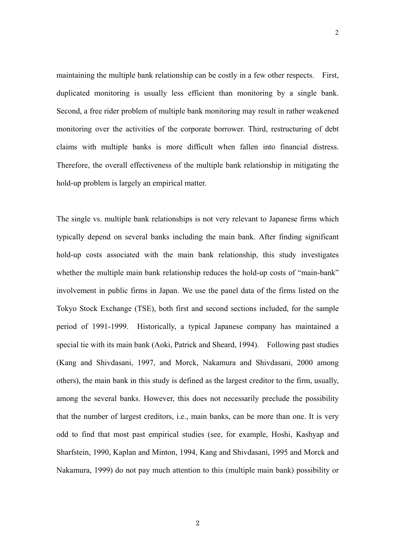maintaining the multiple bank relationship can be costly in a few other respects. First, duplicated monitoring is usually less efficient than monitoring by a single bank. Second, a free rider problem of multiple bank monitoring may result in rather weakened monitoring over the activities of the corporate borrower. Third, restructuring of debt claims with multiple banks is more difficult when fallen into financial distress. Therefore, the overall effectiveness of the multiple bank relationship in mitigating the hold-up problem is largely an empirical matter.

The single vs. multiple bank relationships is not very relevant to Japanese firms which typically depend on several banks including the main bank. After finding significant hold-up costs associated with the main bank relationship, this study investigates whether the multiple main bank relationship reduces the hold-up costs of "main-bank" involvement in public firms in Japan. We use the panel data of the firms listed on the Tokyo Stock Exchange (TSE), both first and second sections included, for the sample period of 1991-1999. Historically, a typical Japanese company has maintained a special tie with its main bank (Aoki, Patrick and Sheard, 1994). Following past studies (Kang and Shivdasani, 1997, and Morck, Nakamura and Shivdasani, 2000 among others), the main bank in this study is defined as the largest creditor to the firm, usually, among the several banks. However, this does not necessarily preclude the possibility that the number of largest creditors, i.e., main banks, can be more than one. It is very odd to find that most past empirical studies (see, for example, Hoshi, Kashyap and Sharfstein, 1990, Kaplan and Minton, 1994, Kang and Shivdasani, 1995 and Morck and Nakamura, 1999) do not pay much attention to this (multiple main bank) possibility or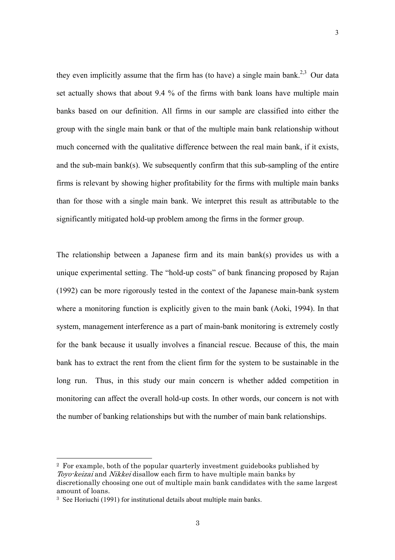they even implicitly assume that the firm has (to have) a single main bank.<sup>2,3</sup> Our data set actually shows that about 9.4 % of the firms with bank loans have multiple main banks based on our definition. All firms in our sample are classified into either the group with the single main bank or that of the multiple main bank relationship without much concerned with the qualitative difference between the real main bank, if it exists, and the sub-main bank(s). We subsequently confirm that this sub-sampling of the entire firms is relevant by showing higher profitability for the firms with multiple main banks than for those with a single main bank. We interpret this result as attributable to the significantly mitigated hold-up problem among the firms in the former group.

3

The relationship between a Japanese firm and its main bank(s) provides us with a unique experimental setting. The "hold-up costs" of bank financing proposed by Rajan (1992) can be more rigorously tested in the context of the Japanese main-bank system where a monitoring function is explicitly given to the main bank (Aoki, 1994). In that system, management interference as a part of main-bank monitoring is extremely costly for the bank because it usually involves a financial rescue. Because of this, the main bank has to extract the rent from the client firm for the system to be sustainable in the long run. Thus, in this study our main concern is whether added competition in monitoring can affect the overall hold-up costs. In other words, our concern is not with the number of banking relationships but with the number of main bank relationships.

2 For example, both of the popular quarterly investment guidebooks published by Toyo-keizai and Nikkei disallow each firm to have multiple main banks by discretionally choosing one out of multiple main bank candidates with the same largest amount of loans.

<sup>3</sup> See Horiuchi (1991) for institutional details about multiple main banks.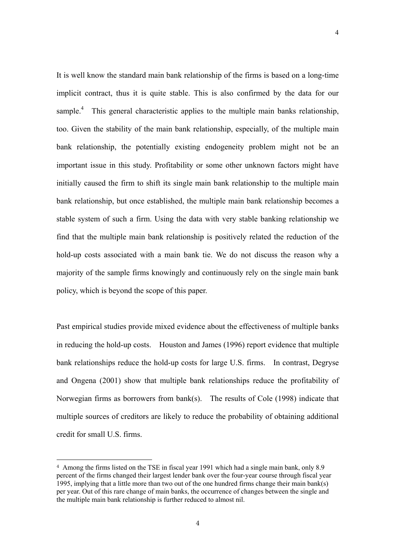It is well know the standard main bank relationship of the firms is based on a long-time implicit contract, thus it is quite stable. This is also confirmed by the data for our sample.<sup>4</sup> This general characteristic applies to the multiple main banks relationship, too. Given the stability of the main bank relationship, especially, of the multiple main bank relationship, the potentially existing endogeneity problem might not be an important issue in this study. Profitability or some other unknown factors might have initially caused the firm to shift its single main bank relationship to the multiple main bank relationship, but once established, the multiple main bank relationship becomes a stable system of such a firm. Using the data with very stable banking relationship we find that the multiple main bank relationship is positively related the reduction of the hold-up costs associated with a main bank tie. We do not discuss the reason why a majority of the sample firms knowingly and continuously rely on the single main bank policy, which is beyond the scope of this paper.

Past empirical studies provide mixed evidence about the effectiveness of multiple banks in reducing the hold-up costs. Houston and James (1996) report evidence that multiple bank relationships reduce the hold-up costs for large U.S. firms. In contrast, Degryse and Ongena (2001) show that multiple bank relationships reduce the profitability of Norwegian firms as borrowers from bank(s). The results of Cole (1998) indicate that multiple sources of creditors are likely to reduce the probability of obtaining additional credit for small U.S. firms.

<sup>4</sup> Among the firms listed on the TSE in fiscal year 1991 which had a single main bank, only 8.9 percent of the firms changed their largest lender bank over the four-year course through fiscal year 1995, implying that a little more than two out of the one hundred firms change their main bank(s) per year. Out of this rare change of main banks, the occurrence of changes between the single and the multiple main bank relationship is further reduced to almost nil.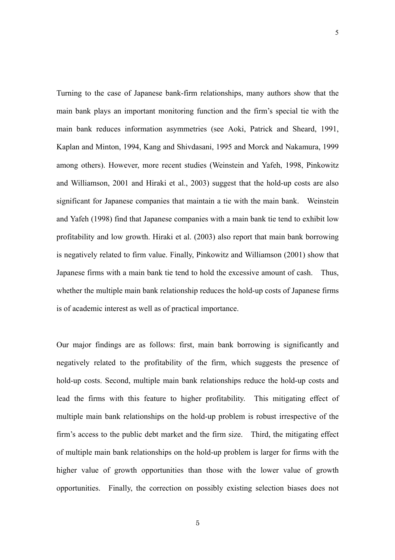Turning to the case of Japanese bank-firm relationships, many authors show that the main bank plays an important monitoring function and the firm's special tie with the main bank reduces information asymmetries (see Aoki, Patrick and Sheard, 1991, Kaplan and Minton, 1994, Kang and Shivdasani, 1995 and Morck and Nakamura, 1999 among others). However, more recent studies (Weinstein and Yafeh, 1998, Pinkowitz and Williamson, 2001 and Hiraki et al., 2003) suggest that the hold-up costs are also significant for Japanese companies that maintain a tie with the main bank. Weinstein and Yafeh (1998) find that Japanese companies with a main bank tie tend to exhibit low profitability and low growth. Hiraki et al. (2003) also report that main bank borrowing is negatively related to firm value. Finally, Pinkowitz and Williamson (2001) show that Japanese firms with a main bank tie tend to hold the excessive amount of cash. Thus, whether the multiple main bank relationship reduces the hold-up costs of Japanese firms is of academic interest as well as of practical importance.

Our major findings are as follows: first, main bank borrowing is significantly and negatively related to the profitability of the firm, which suggests the presence of hold-up costs. Second, multiple main bank relationships reduce the hold-up costs and lead the firms with this feature to higher profitability. This mitigating effect of multiple main bank relationships on the hold-up problem is robust irrespective of the firm's access to the public debt market and the firm size. Third, the mitigating effect of multiple main bank relationships on the hold-up problem is larger for firms with the higher value of growth opportunities than those with the lower value of growth opportunities. Finally, the correction on possibly existing selection biases does not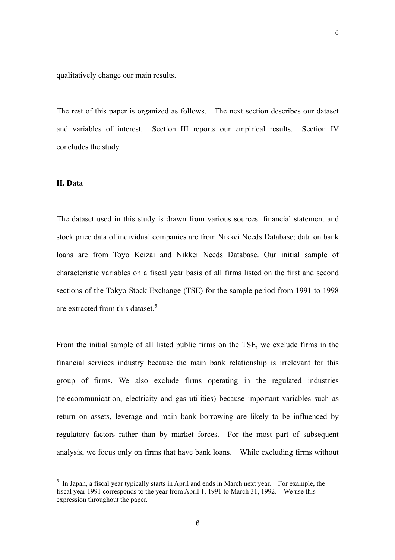qualitatively change our main results.

The rest of this paper is organized as follows. The next section describes our dataset and variables of interest. Section III reports our empirical results. Section IV concludes the study.

#### **II. Data**

The dataset used in this study is drawn from various sources: financial statement and stock price data of individual companies are from Nikkei Needs Database; data on bank loans are from Toyo Keizai and Nikkei Needs Database. Our initial sample of characteristic variables on a fiscal year basis of all firms listed on the first and second sections of the Tokyo Stock Exchange (TSE) for the sample period from 1991 to 1998 are extracted from this dataset.<sup>5</sup>

From the initial sample of all listed public firms on the TSE, we exclude firms in the financial services industry because the main bank relationship is irrelevant for this group of firms. We also exclude firms operating in the regulated industries (telecommunication, electricity and gas utilities) because important variables such as return on assets, leverage and main bank borrowing are likely to be influenced by regulatory factors rather than by market forces. For the most part of subsequent analysis, we focus only on firms that have bank loans. While excluding firms without

<sup>&</sup>lt;sup>5</sup> In Japan, a fiscal year typically starts in April and ends in March next year. For example, the fiscal year 1991 corresponds to the year from April 1, 1991 to March 31, 1992. We use this expression throughout the paper.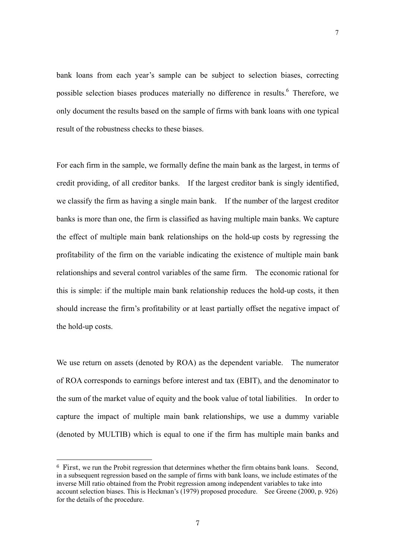bank loans from each year's sample can be subject to selection biases, correcting possible selection biases produces materially no difference in results.<sup>6</sup> Therefore, we only document the results based on the sample of firms with bank loans with one typical result of the robustness checks to these biases.

For each firm in the sample, we formally define the main bank as the largest, in terms of credit providing, of all creditor banks. If the largest creditor bank is singly identified, we classify the firm as having a single main bank. If the number of the largest creditor banks is more than one, the firm is classified as having multiple main banks. We capture the effect of multiple main bank relationships on the hold-up costs by regressing the profitability of the firm on the variable indicating the existence of multiple main bank relationships and several control variables of the same firm. The economic rational for this is simple: if the multiple main bank relationship reduces the hold-up costs, it then should increase the firm's profitability or at least partially offset the negative impact of the hold-up costs.

We use return on assets (denoted by ROA) as the dependent variable. The numerator of ROA corresponds to earnings before interest and tax (EBIT), and the denominator to the sum of the market value of equity and the book value of total liabilities. In order to capture the impact of multiple main bank relationships, we use a dummy variable (denoted by MULTIB) which is equal to one if the firm has multiple main banks and

<sup>6</sup> First, we run the Probit regression that determines whether the firm obtains bank loans. Second, in a subsequent regression based on the sample of firms with bank loans, we include estimates of the inverse Mill ratio obtained from the Probit regression among independent variables to take into account selection biases. This is Heckman's (1979) proposed procedure. See Greene (2000, p. 926) for the details of the procedure.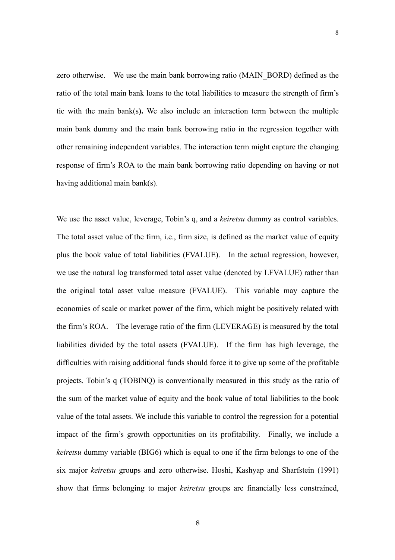zero otherwise. We use the main bank borrowing ratio (MAIN\_BORD) defined as the ratio of the total main bank loans to the total liabilities to measure the strength of firm's tie with the main bank(s**).** We also include an interaction term between the multiple main bank dummy and the main bank borrowing ratio in the regression together with other remaining independent variables. The interaction term might capture the changing response of firm's ROA to the main bank borrowing ratio depending on having or not having additional main bank(s).

We use the asset value, leverage, Tobin's q, and a *keiretsu* dummy as control variables. The total asset value of the firm, i.e., firm size, is defined as the market value of equity plus the book value of total liabilities (FVALUE). In the actual regression, however, we use the natural log transformed total asset value (denoted by LFVALUE) rather than the original total asset value measure (FVALUE). This variable may capture the economies of scale or market power of the firm, which might be positively related with the firm's ROA. The leverage ratio of the firm (LEVERAGE) is measured by the total liabilities divided by the total assets (FVALUE). If the firm has high leverage, the difficulties with raising additional funds should force it to give up some of the profitable projects. Tobin's q (TOBINQ) is conventionally measured in this study as the ratio of the sum of the market value of equity and the book value of total liabilities to the book value of the total assets. We include this variable to control the regression for a potential impact of the firm's growth opportunities on its profitability. Finally, we include a *keiretsu* dummy variable (BIG6) which is equal to one if the firm belongs to one of the six major *keiretsu* groups and zero otherwise. Hoshi, Kashyap and Sharfstein (1991) show that firms belonging to major *keiretsu* groups are financially less constrained,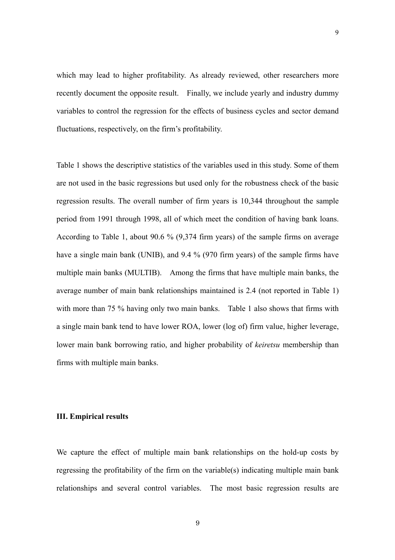which may lead to higher profitability. As already reviewed, other researchers more recently document the opposite result. Finally, we include yearly and industry dummy variables to control the regression for the effects of business cycles and sector demand fluctuations, respectively, on the firm's profitability.

Table 1 shows the descriptive statistics of the variables used in this study. Some of them are not used in the basic regressions but used only for the robustness check of the basic regression results. The overall number of firm years is 10,344 throughout the sample period from 1991 through 1998, all of which meet the condition of having bank loans. According to Table 1, about 90.6 % (9,374 firm years) of the sample firms on average have a single main bank (UNIB), and 9.4 % (970 firm years) of the sample firms have multiple main banks (MULTIB). Among the firms that have multiple main banks, the average number of main bank relationships maintained is 2.4 (not reported in Table 1) with more than 75 % having only two main banks. Table 1 also shows that firms with a single main bank tend to have lower ROA, lower (log of) firm value, higher leverage, lower main bank borrowing ratio, and higher probability of *keiretsu* membership than firms with multiple main banks.

#### **III. Empirical results**

We capture the effect of multiple main bank relationships on the hold-up costs by regressing the profitability of the firm on the variable(s) indicating multiple main bank relationships and several control variables. The most basic regression results are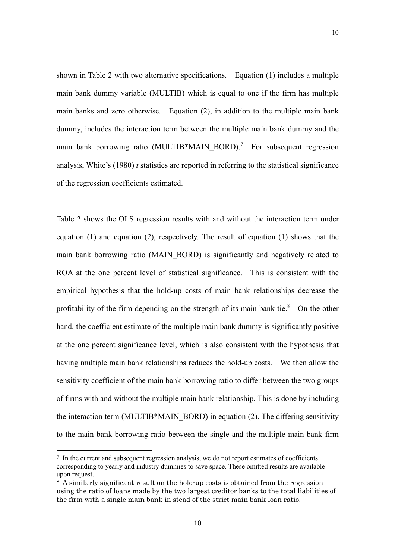shown in Table 2 with two alternative specifications. Equation (1) includes a multiple main bank dummy variable (MULTIB) which is equal to one if the firm has multiple main banks and zero otherwise. Equation (2), in addition to the multiple main bank dummy, includes the interaction term between the multiple main bank dummy and the main bank borrowing ratio (MULTIB\*MAIN\_BORD).<sup>7</sup> For subsequent regression analysis, White's (1980) *t* statistics are reported in referring to the statistical significance of the regression coefficients estimated.

Table 2 shows the OLS regression results with and without the interaction term under equation  $(1)$  and equation  $(2)$ , respectively. The result of equation  $(1)$  shows that the main bank borrowing ratio (MAIN\_BORD) is significantly and negatively related to ROA at the one percent level of statistical significance. This is consistent with the empirical hypothesis that the hold-up costs of main bank relationships decrease the profitability of the firm depending on the strength of its main bank tie. $8$  On the other hand, the coefficient estimate of the multiple main bank dummy is significantly positive at the one percent significance level, which is also consistent with the hypothesis that having multiple main bank relationships reduces the hold-up costs. We then allow the sensitivity coefficient of the main bank borrowing ratio to differ between the two groups of firms with and without the multiple main bank relationship. This is done by including the interaction term (MULTIB\*MAIN\_BORD) in equation (2). The differing sensitivity to the main bank borrowing ratio between the single and the multiple main bank firm

<sup>7</sup> In the current and subsequent regression analysis, we do not report estimates of coefficients corresponding to yearly and industry dummies to save space. These omitted results are available upon request.

<sup>8</sup> A similarly significant result on the hold-up costs is obtained from the regression using the ratio of loans made by the two largest creditor banks to the total liabilities of the firm with a single main bank in stead of the strict main bank loan ratio.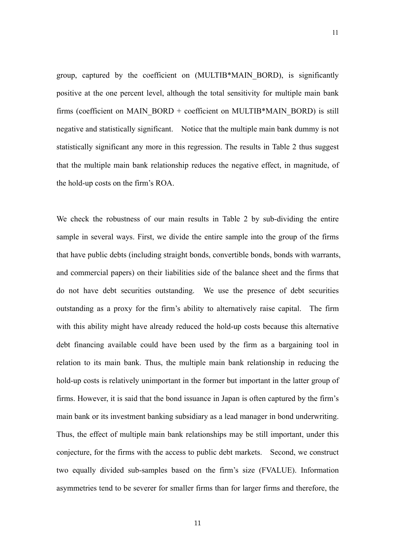group, captured by the coefficient on (MULTIB\*MAIN\_BORD), is significantly positive at the one percent level, although the total sensitivity for multiple main bank firms (coefficient on MAIN\_BORD + coefficient on MULTIB\*MAIN\_BORD) is still negative and statistically significant. Notice that the multiple main bank dummy is not statistically significant any more in this regression. The results in Table 2 thus suggest that the multiple main bank relationship reduces the negative effect, in magnitude, of the hold-up costs on the firm's ROA.

We check the robustness of our main results in Table 2 by sub-dividing the entire sample in several ways. First, we divide the entire sample into the group of the firms that have public debts (including straight bonds, convertible bonds, bonds with warrants, and commercial papers) on their liabilities side of the balance sheet and the firms that do not have debt securities outstanding. We use the presence of debt securities outstanding as a proxy for the firm's ability to alternatively raise capital. The firm with this ability might have already reduced the hold-up costs because this alternative debt financing available could have been used by the firm as a bargaining tool in relation to its main bank. Thus, the multiple main bank relationship in reducing the hold-up costs is relatively unimportant in the former but important in the latter group of firms. However, it is said that the bond issuance in Japan is often captured by the firm's main bank or its investment banking subsidiary as a lead manager in bond underwriting. Thus, the effect of multiple main bank relationships may be still important, under this conjecture, for the firms with the access to public debt markets. Second, we construct two equally divided sub-samples based on the firm's size (FVALUE). Information asymmetries tend to be severer for smaller firms than for larger firms and therefore, the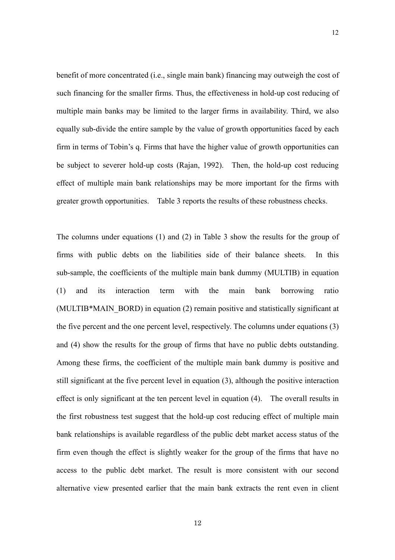benefit of more concentrated (i.e., single main bank) financing may outweigh the cost of such financing for the smaller firms. Thus, the effectiveness in hold-up cost reducing of multiple main banks may be limited to the larger firms in availability. Third, we also equally sub-divide the entire sample by the value of growth opportunities faced by each firm in terms of Tobin's q. Firms that have the higher value of growth opportunities can be subject to severer hold-up costs (Rajan, 1992). Then, the hold-up cost reducing effect of multiple main bank relationships may be more important for the firms with greater growth opportunities. Table 3 reports the results of these robustness checks.

12

The columns under equations (1) and (2) in Table 3 show the results for the group of firms with public debts on the liabilities side of their balance sheets. In this sub-sample, the coefficients of the multiple main bank dummy (MULTIB) in equation (1) and its interaction term with the main bank borrowing ratio (MULTIB\*MAIN\_BORD) in equation (2) remain positive and statistically significant at the five percent and the one percent level, respectively. The columns under equations (3) and (4) show the results for the group of firms that have no public debts outstanding. Among these firms, the coefficient of the multiple main bank dummy is positive and still significant at the five percent level in equation (3), although the positive interaction effect is only significant at the ten percent level in equation (4). The overall results in the first robustness test suggest that the hold-up cost reducing effect of multiple main bank relationships is available regardless of the public debt market access status of the firm even though the effect is slightly weaker for the group of the firms that have no access to the public debt market. The result is more consistent with our second alternative view presented earlier that the main bank extracts the rent even in client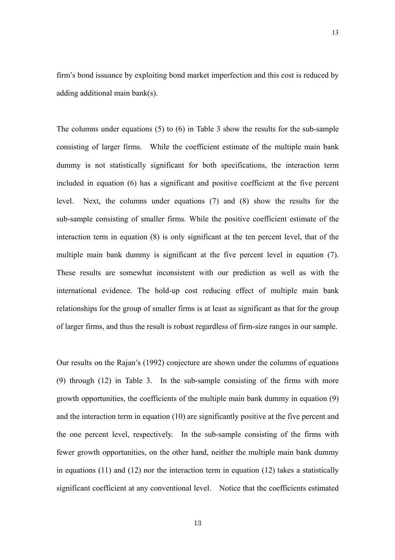firm's bond issuance by exploiting bond market imperfection and this cost is reduced by adding additional main bank(s).

The columns under equations (5) to (6) in Table 3 show the results for the sub-sample consisting of larger firms. While the coefficient estimate of the multiple main bank dummy is not statistically significant for both specifications, the interaction term included in equation (6) has a significant and positive coefficient at the five percent level. Next, the columns under equations (7) and (8) show the results for the sub-sample consisting of smaller firms. While the positive coefficient estimate of the interaction term in equation (8) is only significant at the ten percent level, that of the multiple main bank dummy is significant at the five percent level in equation (7). These results are somewhat inconsistent with our prediction as well as with the international evidence. The hold-up cost reducing effect of multiple main bank relationships for the group of smaller firms is at least as significant as that for the group of larger firms, and thus the result is robust regardless of firm-size ranges in our sample.

Our results on the Rajan's (1992) conjecture are shown under the columns of equations (9) through (12) in Table 3. In the sub-sample consisting of the firms with more growth opportunities, the coefficients of the multiple main bank dummy in equation (9) and the interaction term in equation (10) are significantly positive at the five percent and the one percent level, respectively. In the sub-sample consisting of the firms with fewer growth opportunities, on the other hand, neither the multiple main bank dummy in equations (11) and (12) nor the interaction term in equation (12) takes a statistically significant coefficient at any conventional level. Notice that the coefficients estimated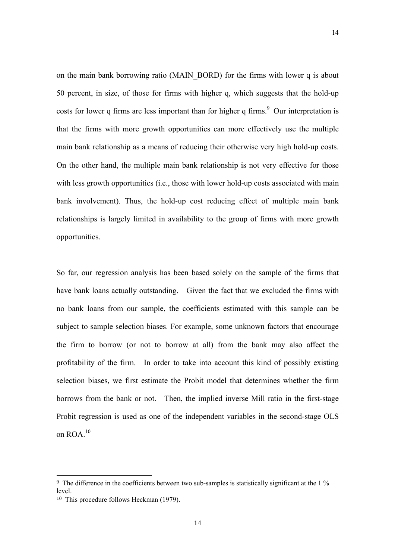on the main bank borrowing ratio (MAIN\_BORD) for the firms with lower q is about 50 percent, in size, of those for firms with higher q, which suggests that the hold-up costs for lower q firms are less important than for higher q firms. $9$  Our interpretation is that the firms with more growth opportunities can more effectively use the multiple main bank relationship as a means of reducing their otherwise very high hold-up costs. On the other hand, the multiple main bank relationship is not very effective for those with less growth opportunities (i.e., those with lower hold-up costs associated with main bank involvement). Thus, the hold-up cost reducing effect of multiple main bank relationships is largely limited in availability to the group of firms with more growth opportunities.

So far, our regression analysis has been based solely on the sample of the firms that have bank loans actually outstanding. Given the fact that we excluded the firms with no bank loans from our sample, the coefficients estimated with this sample can be subject to sample selection biases. For example, some unknown factors that encourage the firm to borrow (or not to borrow at all) from the bank may also affect the profitability of the firm. In order to take into account this kind of possibly existing selection biases, we first estimate the Probit model that determines whether the firm borrows from the bank or not. Then, the implied inverse Mill ratio in the first-stage Probit regression is used as one of the independent variables in the second-stage OLS on ROA.<sup>10</sup>

<sup>9</sup> The difference in the coefficients between two sub-samples is statistically significant at the 1 % level.

<sup>10</sup> This procedure follows Heckman (1979).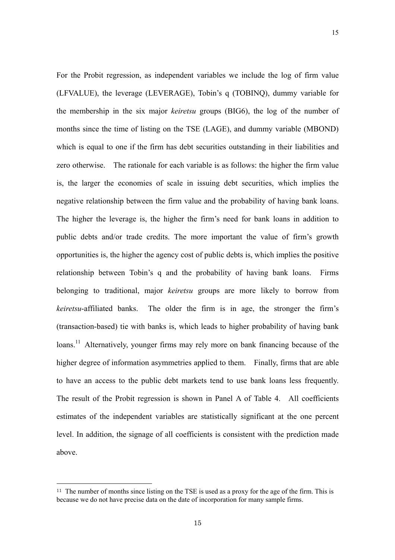For the Probit regression, as independent variables we include the log of firm value (LFVALUE), the leverage (LEVERAGE), Tobin's q (TOBINQ), dummy variable for the membership in the six major *keiretsu* groups (BIG6), the log of the number of months since the time of listing on the TSE (LAGE), and dummy variable (MBOND) which is equal to one if the firm has debt securities outstanding in their liabilities and zero otherwise. The rationale for each variable is as follows: the higher the firm value is, the larger the economies of scale in issuing debt securities, which implies the negative relationship between the firm value and the probability of having bank loans. The higher the leverage is, the higher the firm's need for bank loans in addition to public debts and/or trade credits. The more important the value of firm's growth opportunities is, the higher the agency cost of public debts is, which implies the positive relationship between Tobin's q and the probability of having bank loans. Firms belonging to traditional, major *keiretsu* groups are more likely to borrow from *keiretsu*-affiliated banks. The older the firm is in age, the stronger the firm's (transaction-based) tie with banks is, which leads to higher probability of having bank loans.<sup>11</sup> Alternatively, younger firms may rely more on bank financing because of the higher degree of information asymmetries applied to them. Finally, firms that are able to have an access to the public debt markets tend to use bank loans less frequently. The result of the Probit regression is shown in Panel A of Table 4. All coefficients

15

estimates of the independent variables are statistically significant at the one percent level. In addition, the signage of all coefficients is consistent with the prediction made above.

<sup>&</sup>lt;sup>11</sup> The number of months since listing on the TSE is used as a proxy for the age of the firm. This is because we do not have precise data on the date of incorporation for many sample firms.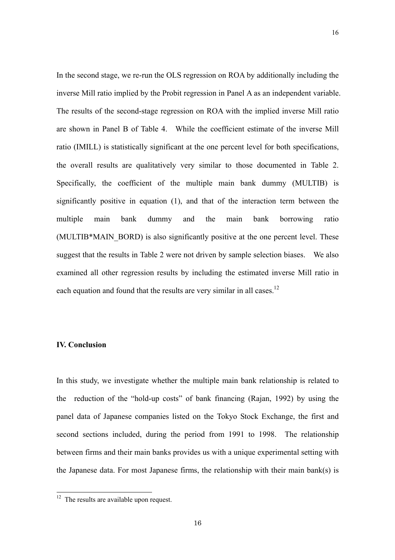In the second stage, we re-run the OLS regression on ROA by additionally including the inverse Mill ratio implied by the Probit regression in Panel A as an independent variable. The results of the second-stage regression on ROA with the implied inverse Mill ratio are shown in Panel B of Table 4. While the coefficient estimate of the inverse Mill ratio (IMILL) is statistically significant at the one percent level for both specifications, the overall results are qualitatively very similar to those documented in Table 2. Specifically, the coefficient of the multiple main bank dummy (MULTIB) is significantly positive in equation (1), and that of the interaction term between the multiple main bank dummy and the main bank borrowing ratio (MULTIB\*MAIN\_BORD) is also significantly positive at the one percent level. These suggest that the results in Table 2 were not driven by sample selection biases. We also examined all other regression results by including the estimated inverse Mill ratio in each equation and found that the results are very similar in all cases.<sup>12</sup>

16

#### **IV. Conclusion**

 $\overline{a}$ 

In this study, we investigate whether the multiple main bank relationship is related to the reduction of the "hold-up costs" of bank financing (Rajan, 1992) by using the panel data of Japanese companies listed on the Tokyo Stock Exchange, the first and second sections included, during the period from 1991 to 1998. The relationship between firms and their main banks provides us with a unique experimental setting with the Japanese data. For most Japanese firms, the relationship with their main bank(s) is

 $12$  The results are available upon request.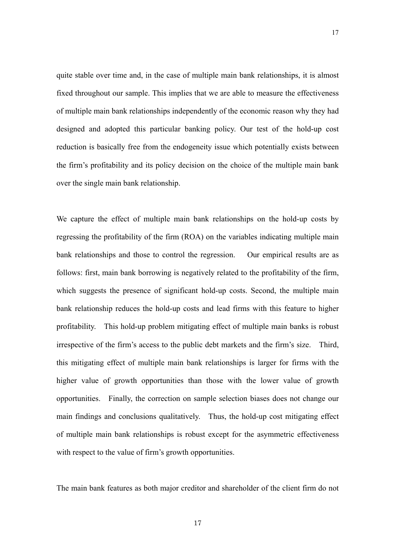quite stable over time and, in the case of multiple main bank relationships, it is almost fixed throughout our sample. This implies that we are able to measure the effectiveness of multiple main bank relationships independently of the economic reason why they had designed and adopted this particular banking policy. Our test of the hold-up cost reduction is basically free from the endogeneity issue which potentially exists between the firm's profitability and its policy decision on the choice of the multiple main bank over the single main bank relationship.

17

We capture the effect of multiple main bank relationships on the hold-up costs by regressing the profitability of the firm (ROA) on the variables indicating multiple main bank relationships and those to control the regression. Our empirical results are as follows: first, main bank borrowing is negatively related to the profitability of the firm, which suggests the presence of significant hold-up costs. Second, the multiple main bank relationship reduces the hold-up costs and lead firms with this feature to higher profitability. This hold-up problem mitigating effect of multiple main banks is robust irrespective of the firm's access to the public debt markets and the firm's size. Third, this mitigating effect of multiple main bank relationships is larger for firms with the higher value of growth opportunities than those with the lower value of growth opportunities. Finally, the correction on sample selection biases does not change our main findings and conclusions qualitatively. Thus, the hold-up cost mitigating effect of multiple main bank relationships is robust except for the asymmetric effectiveness with respect to the value of firm's growth opportunities.

The main bank features as both major creditor and shareholder of the client firm do not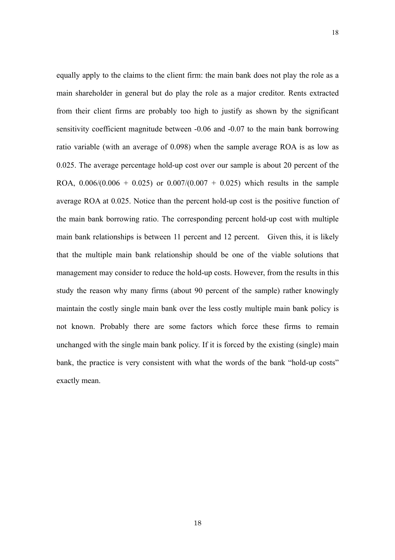equally apply to the claims to the client firm: the main bank does not play the role as a main shareholder in general but do play the role as a major creditor. Rents extracted from their client firms are probably too high to justify as shown by the significant sensitivity coefficient magnitude between -0.06 and -0.07 to the main bank borrowing ratio variable (with an average of 0.098) when the sample average ROA is as low as 0.025. The average percentage hold-up cost over our sample is about 20 percent of the ROA,  $0.006/(0.006 + 0.025)$  or  $0.007/(0.007 + 0.025)$  which results in the sample average ROA at 0.025. Notice than the percent hold-up cost is the positive function of the main bank borrowing ratio. The corresponding percent hold-up cost with multiple main bank relationships is between 11 percent and 12 percent. Given this, it is likely that the multiple main bank relationship should be one of the viable solutions that management may consider to reduce the hold-up costs. However, from the results in this study the reason why many firms (about 90 percent of the sample) rather knowingly maintain the costly single main bank over the less costly multiple main bank policy is not known. Probably there are some factors which force these firms to remain unchanged with the single main bank policy. If it is forced by the existing (single) main bank, the practice is very consistent with what the words of the bank "hold-up costs" exactly mean.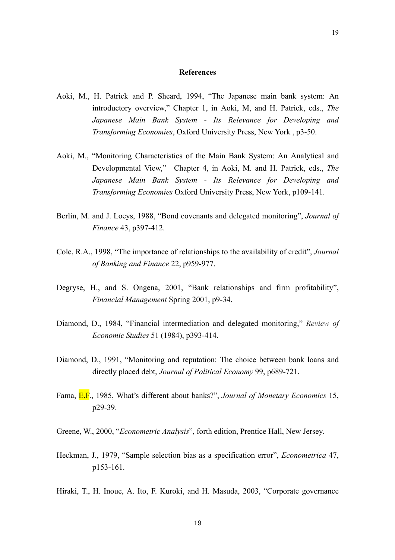#### **References**

- Aoki, M., H. Patrick and P. Sheard, 1994, "The Japanese main bank system: An introductory overview," Chapter 1, in Aoki, M, and H. Patrick, eds., *The Japanese Main Bank System - Its Relevance for Developing and Transforming Economies*, Oxford University Press, New York , p3-50.
- Aoki, M., "Monitoring Characteristics of the Main Bank System: An Analytical and Developmental View," Chapter 4, in Aoki, M. and H. Patrick, eds., *The Japanese Main Bank System - Its Relevance for Developing and Transforming Economies* Oxford University Press, New York, p109-141.
- Berlin, M. and J. Loeys, 1988, "Bond covenants and delegated monitoring", *Journal of Finance* 43, p397-412.
- Cole, R.A., 1998, "The importance of relationships to the availability of credit", *Journal of Banking and Finance* 22, p959-977.
- Degryse, H., and S. Ongena, 2001, "Bank relationships and firm profitability", *Financial Management* Spring 2001, p9-34.
- Diamond, D., 1984, "Financial intermediation and delegated monitoring," *Review of Economic Studies* 51 (1984), p393-414.
- Diamond, D., 1991, "Monitoring and reputation: The choice between bank loans and directly placed debt, *Journal of Political Economy* 99, p689-721.
- Fama, E.F., 1985, What's different about banks?", *Journal of Monetary Economics* 15, p29-39.
- Greene, W., 2000, "*Econometric Analysis*", forth edition, Prentice Hall, New Jersey.
- Heckman, J., 1979, "Sample selection bias as a specification error", *Econometrica* 47, p153-161.
- Hiraki, T., H. Inoue, A. Ito, F. Kuroki, and H. Masuda, 2003, "Corporate governance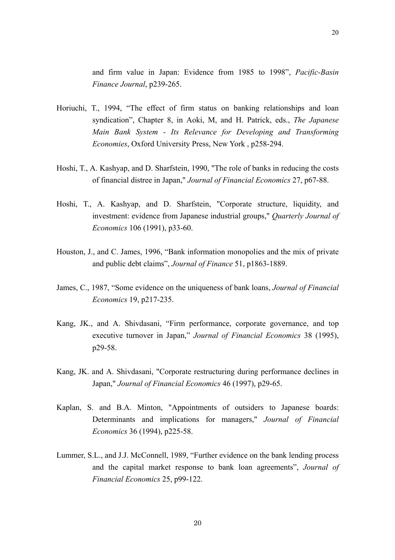and firm value in Japan: Evidence from 1985 to 1998", *Pacific-Basin Finance Journal*, p239-265.

- Horiuchi, T., 1994, "The effect of firm status on banking relationships and loan syndication", Chapter 8, in Aoki, M, and H. Patrick, eds., *The Japanese Main Bank System - Its Relevance for Developing and Transforming Economies*, Oxford University Press, New York , p258-294.
- Hoshi, T., A. Kashyap, and D. Sharfstein, 1990, "The role of banks in reducing the costs of financial distree in Japan," *Journal of Financial Economics* 27, p67-88.
- Hoshi, T., A. Kashyap, and D. Sharfstein, "Corporate structure, liquidity, and investment: evidence from Japanese industrial groups," *Quarterly Journal of Economics* 106 (1991), p33-60.
- Houston, J., and C. James, 1996, "Bank information monopolies and the mix of private and public debt claims", *Journal of Finance* 51, p1863-1889.
- James, C., 1987, "Some evidence on the uniqueness of bank loans, *Journal of Financial Economics* 19, p217-235.
- Kang, JK., and A. Shivdasani, "Firm performance, corporate governance, and top executive turnover in Japan," *Journal of Financial Economics* 38 (1995), p29-58.
- Kang, JK. and A. Shivdasani, "Corporate restructuring during performance declines in Japan," *Journal of Financial Economics* 46 (1997), p29-65.
- Kaplan, S. and B.A. Minton, "Appointments of outsiders to Japanese boards: Determinants and implications for managers," *Journal of Financial Economics* 36 (1994), p225-58.
- Lummer, S.L., and J.J. McConnell, 1989, "Further evidence on the bank lending process and the capital market response to bank loan agreements", *Journal of Financial Economics* 25, p99-122.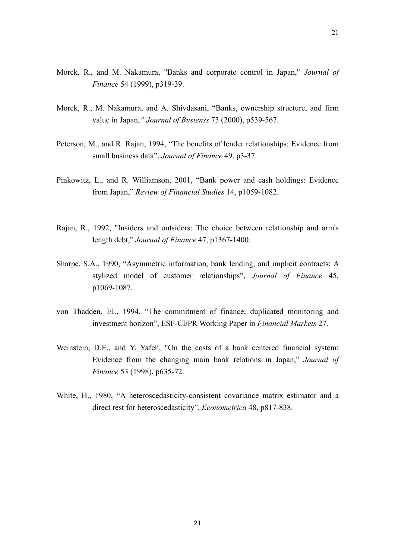- Morck, R., and M. Nakamura, "Banks and corporate control in Japan," *Journal of Finance* 54 (1999), p319-39.
- Morck, R., M. Nakamura, and A. Shivdasani, "Banks, ownership structure, and firm value in Japan,*" Journal of Busienss* 73 (2000), p539-567.
- Peterson, M., and R. Rajan, 1994, "The benefits of lender relationships: Evidence from small business data", *Journal of Finance* 49, p3-37.
- Pinkowitz, L., and R. Williamson, 2001, "Bank power and cash holdings: Evidence from Japan," *Review of Financial Studies* 14, p1059-1082.
- Rajan, R., 1992, "Insiders and outsiders: The choice between relationship and arm's length debt," *Journal of Finance* 47, p1367-1400.
- Sharpe, S.A., 1990, "Asymmetric information, bank lending, and implicit contracts: A stylized model of customer relationships", *Journal of Finance* 45, p1069-1087.
- von Thadden, EL, 1994, "The commitment of finance, duplicated monitoring and investment horizon", ESF-CEPR Working Paper in *Financial Markets* 27.
- Weinstein, D.E., and Y. Yafeh, "On the costs of a bank centered financial system: Evidence from the changing main bank relations in Japan," *Journal of Finance* 53 (1998), p635-72.
- White, H., 1980, "A heteroscedasticity-consistent covariance matrix estimator and a direct rest for heteroscedasticity", *Econometrica* 48, p817-838.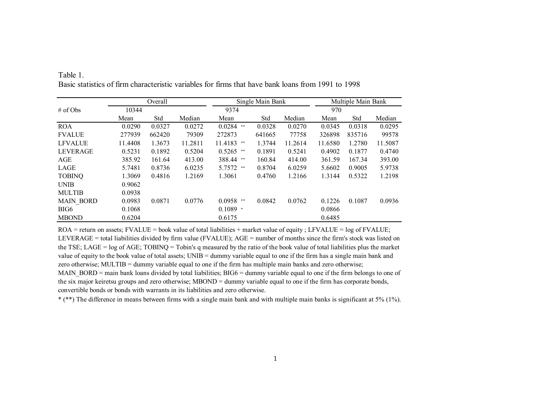|                  |         | Overall |         | Single Main Bank |        |         | Multiple Main Bank |        |         |  |
|------------------|---------|---------|---------|------------------|--------|---------|--------------------|--------|---------|--|
| # of Obs         | 10344   |         |         | 9374             |        |         | 970                |        |         |  |
|                  | Mean    | Std     | Median  | Mean             | Std    | Median  | Mean               | Std    | Median  |  |
| <b>ROA</b>       | 0.0290  | 0.0327  | 0.0272  | 0.0284<br>$* *$  | 0.0328 | 0.0270  | 0.0345             | 0.0318 | 0.0295  |  |
| <b>FVALUE</b>    | 277939  | 662420  | 79309   | 272873           | 641665 | 77758   | 326898             | 835716 | 99578   |  |
| <b>LFVALUE</b>   | 11.4408 | 1.3673  | 11.2811 | 11.4183<br>**    | 1.3744 | 11.2614 | 11.6580            | 1.2780 | 11.5087 |  |
| <b>LEVERAGE</b>  | 0.5231  | 0.1892  | 0.5204  | $0.5265$ **      | 0.1891 | 0.5241  | 0.4902             | 0.1877 | 0.4740  |  |
| AGE              | 385.92  | 161.64  | 413.00  | 388.44 **        | 160.84 | 414.00  | 361.59             | 167.34 | 393.00  |  |
| LAGE             | 5.7481  | 0.8736  | 6.0235  | 5.7572 **        | 0.8704 | 6.0259  | 5.6602             | 0.9005 | 5.9738  |  |
| <b>TOBINQ</b>    | 1.3069  | 0.4816  | 1.2169  | 1.3061           | 0.4760 | 1.2166  | 1.3144             | 0.5322 | 1.2198  |  |
| <b>UNIB</b>      | 0.9062  |         |         |                  |        |         |                    |        |         |  |
| <b>MULTIB</b>    | 0.0938  |         |         |                  |        |         |                    |        |         |  |
| <b>MAIN BORD</b> | 0.0983  | 0.0871  | 0.0776  | $0.0958$ **      | 0.0842 | 0.0762  | 0.1226             | 0.1087 | 0.0936  |  |
| BIG <sub>6</sub> | 0.1068  |         |         | $0.1089$ *       |        |         | 0.0866             |        |         |  |
| <b>MBOND</b>     | 0.6204  |         |         | 0.6175           |        |         | 0.6485             |        |         |  |

Table 1.Basic statistics of firm characteristic variables for firms that have bank loans from 1991 to 1998

ROA = return on assets; FVALUE = book value of total liabilities + market value of equity ; LFVALUE = log of FVALUE; LEVERAGE = total liabilities divided by firm value (FVALUE); AGE = number of months since the firm's stock was listed on the TSE; LAGE = log of AGE; TOBINQ = Tobin's q measured by the ratio of the book value of total liabilities plus the market value of equity to the book value of total assets; UNIB = dummy variable equal to one if the firm has a single main bank and zero otherwise; MULTIB = dummy variable equal to one if the firm has multiple main banks and zero otherwise; MAIN BORD = main bank loans divided by total liabilities; BIG6 = dummy variable equal to one if the firm belongs to one of the six major keiretsu groups and zero otherwise; MBOND = dummy variable equal to one if the firm has corporate bonds, convertible bonds or bonds with warrants in its liabilities and zero otherwise.

\* (\*\*) The difference in means between firms with a single main bank and with multiple main banks is significant at 5% (1%).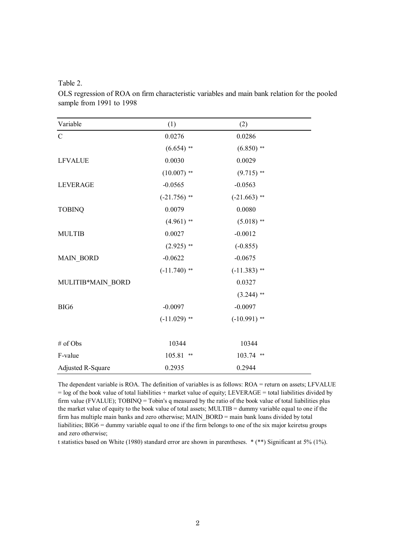Table 2.

OLS regression of ROA on firm characteristic variables and main bank relation for the pooled sample from 1991 to 1998

| Variable          | (1)            | (2)            |  |
|-------------------|----------------|----------------|--|
| $\mathcal{C}$     | 0.0276         | 0.0286         |  |
|                   | $(6.654)$ **   | $(6.850)$ **   |  |
| <b>LFVALUE</b>    | 0.0030         | 0.0029         |  |
|                   | $(10.007)$ **  | $(9.715)$ **   |  |
| <b>LEVERAGE</b>   | $-0.0565$      | $-0.0563$      |  |
|                   | $(-21.756)$ ** | $(-21.663)$ ** |  |
| <b>TOBINQ</b>     | 0.0079         | 0.0080         |  |
|                   | $(4.961)$ **   | $(5.018)$ **   |  |
| <b>MULTIB</b>     | 0.0027         | $-0.0012$      |  |
|                   | $(2.925)$ **   | $(-0.855)$     |  |
| <b>MAIN_BORD</b>  | $-0.0622$      | $-0.0675$      |  |
|                   | $(-11.740)$ ** | $(-11.383)$ ** |  |
| MULITIB*MAIN_BORD |                | 0.0327         |  |
|                   |                | $(3.244)$ **   |  |
| BIG <sub>6</sub>  | $-0.0097$      | $-0.0097$      |  |
|                   | $(-11.029)$ ** | $(-10.991)$ ** |  |
| # of Obs          | 10344          | 10344          |  |
| F-value           | 105.81<br>**   | 103.74 **      |  |
| Adjusted R-Square | 0.2935         | 0.2944         |  |

The dependent variable is ROA. The definition of variables is as follows: ROA = return on assets; LFVALUE = log of the book value of total liabilities + market value of equity; LEVERAGE = total liabilities divided by firm value (FVALUE); TOBINQ = Tobin's q measured by the ratio of the book value of total liabilities plus the market value of equity to the book value of total assets; MULTIB = dummy variable equal to one if the firm has multiple main banks and zero otherwise; MAIN\_BORD = main bank loans divided by total liabilities; BIG6 = dummy variable equal to one if the firm belongs to one of the six major keiretsu groups and zero otherwise;

t statistics based on White (1980) standard error are shown in parentheses. \* (\*\*) Significant at 5% (1%).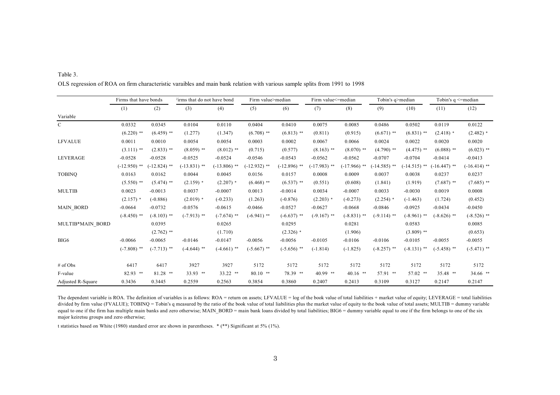|                   | Firms that have bonds |                | Firms that do not have bond |                | Firm value>median |                | Firm value<=median |                | Tobin's q>median |                | Tobin's $q \le$ =median |                |
|-------------------|-----------------------|----------------|-----------------------------|----------------|-------------------|----------------|--------------------|----------------|------------------|----------------|-------------------------|----------------|
|                   | (1)                   | (2)            | (3)                         | (4)            | (5)               | (6)            | (7)                | (8)            | (9)              | (10)           | (11)                    | (12)           |
| Variable          |                       |                |                             |                |                   |                |                    |                |                  |                |                         |                |
| $\mathcal{C}$     | 0.0332                | 0.0345         | 0.0104                      | 0.0110         | 0.0404            | 0.0410         | 0.0075             | 0.0085         | 0.0486           | 0.0502         | 0.0119                  | 0.0122         |
|                   | $(6.220)$ **          | $(6.459)$ **   | (1.277)                     | (1.347)        | $(6.708)$ **      | $(6.813)$ **   | (0.811)            | (0.915)        | $(6.671)$ **     | $(6.831)$ **   | $(2.418)$ *             | $(2.482)$ *    |
| <b>LFVALUE</b>    | 0.0011                | 0.0010         | 0.0054                      | 0.0054         | 0.0003            | 0.0002         | 0.0067             | 0.0066         | 0.0024           | 0.0022         | 0.0020                  | 0.0020         |
|                   | $(3.111)$ **          | $(2.833)$ **   | $(8.059)$ **                | $(8.012)$ **   | (0.715)           | (0.577)        | $(8.163)$ **       | $(8.070)$ **   | $(4.790)$ **     | $(4.475)$ **   | $(6.088)$ **            | $(6.023)$ **   |
| <b>LEVERAGE</b>   | $-0.0528$             | $-0.0528$      | $-0.0525$                   | $-0.0524$      | $-0.0546$         | $-0.0543$      | $-0.0562$          | $-0.0562$      | $-0.0707$        | $-0.0704$      | $-0.0414$               | $-0.0413$      |
|                   | $(-12.950)$ **        | $(-12.824)$ ** | $(-13.831)$ **              | $(-13.806)$ ** | $(-12.932)$ **    | $(-12.896)$ ** | $(-17.983)$ **     | $(-17.966)$ ** | $(-14.585)$ **   | $(-14.515)$ ** | $(-16.447)$ **          | $(-16.414)$ ** |
| <b>TOBINQ</b>     | 0.0163                | 0.0162         | 0.0044                      | 0.0045         | 0.0156            | 0.0157         | 0.0008             | 0.0009         | 0.0037           | 0.0038         | 0.0237                  | 0.0237         |
|                   | $(5.550)$ **          | $(5.474)$ **   | $(2.159)$ *                 | $(2.207)$ *    | $(6.468)$ **      | $(6.537)$ **   | (0.551)            | (0.608)        | (1.841)          | (1.919)        | $(7.687)$ **            | $(7.685)$ **   |
| <b>MULTIB</b>     | 0.0023                | $-0.0013$      | 0.0037                      | $-0.0007$      | 0.0013            | $-0.0014$      | 0.0034             | $-0.0007$      | 0.0033           | $-0.0030$      | 0.0019                  | 0.0008         |
|                   | $(2.157)$ *           | $(-0.886)$     | $(2.019)$ *                 | $(-0.233)$     | (1.263)           | $(-0.876)$     | $(2.203)$ *        | $(-0.273)$     | $(2.254)$ *      | $(-1.463)$     | (1.724)                 | (0.452)        |
| <b>MAIN BORD</b>  | $-0.0664$             | $-0.0732$      | $-0.0576$                   | $-0.0615$      | $-0.0466$         | $-0.0527$      | $-0.0627$          | $-0.0668$      | $-0.0846$        | $-0.0925$      | $-0.0434$               | $-0.0450$      |
|                   | $(-8.450)$ **         | $(-8.103)$ **  | $(-7.913)$ **               | $(-7.674)$ **  | $(-6.941)$ **     | $(-6.637)$ **  | $(-9.167)$ **      | $(-8.831)$ **  | $(-9.114)$ **    | $(-8.961)$ **  | $(-8.626)$ **           | $(-8.526)$ **  |
| MULTIB*MAIN BORD  |                       | 0.0395         |                             | 0.0265         |                   | 0.0295         |                    | 0.0281         |                  | 0.0583         |                         | 0.0085         |
|                   |                       | $(2.762)$ **   |                             | (1.710)        |                   | $(2.326)$ *    |                    | (1.906)        |                  | $(3.809)$ **   |                         | (0.653)        |
| BIG6              | $-0.0066$             | $-0.0065$      | $-0.0146$                   | $-0.0147$      | $-0.0056$         | $-0.0056$      | $-0.0105$          | $-0.0106$      | $-0.0106$        | $-0.0105$      | $-0.0055$               | $-0.0055$      |
|                   | $(-7.808)$ **         | $(-7.713)$ **  | $(-4.644)$ **               | $(-4.661)$ **  | $(-5.667)$ **     | $(-5.656)$ **  | $(-1.814)$         | $(-1.825)$     | $(-8.257)$ **    | $(-8.131)$ **  | $(-5.458)$ **           | $(-5.471)$ **  |
| # of Obs          | 6417                  | 6417           | 3927                        | 3927           | 5172              | 5172           | 5172               | 5172           | 5172             | 5172           | 5172                    | 5172           |
| F-value           | 82.93 **              | $81.28$ **     | 33.93 **                    | 33.22 **       | $80.10$ **        | 78.39 **       | $40.99$ **         | $40.16$ **     | 57.91 **         | 57.02 **       | 35.48 **                | 34.66 **       |
| Adjusted R-Square | 0.3436                | 0.3445         | 0.2559                      | 0.2563         | 0.3854            | 0.3860         | 0.2407             | 0.2413         | 0.3109           | 0.3127         | 0.2147                  | 0.2147         |

Table 3. OLS regression of ROA on firm characteristic varaibles and main bank relation with various sample splits from 1991 to 1998

The dependent variable is ROA. The definition of variables is as follows: ROA = return on assets; LFVALUE = log of the book value of total liabilities + market value of equity; LEVERAGE = total liabilities divided by firm value (FVALUE); TOBINQ = Tobin's q measured by the ratio of the book value of total liabilities plus the market value of equity to the book value of total assets; MULTIB = dummy variable equal to one if the firm has multiple main banks and zero otherwise; MAIN\_BORD = main bank loans divided by total liabilities; BIG6 = dummy variable equal to one if the firm belongs to one of the six major keiretsu groups and zero otherwise;

t statistics based on White (1980) standard error are shown in parentheses. \* (\*\*) Significant at 5% (1%).